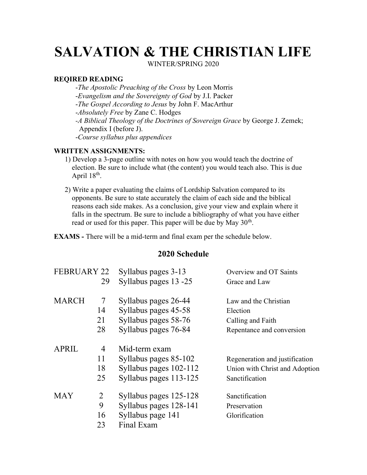# SALVATION & THE CHRISTIAN LIFE

WINTER/SPRING 2020

#### REQIRED READING

 -The Apostolic Preaching of the Cross by Leon Morris -Evangelism and the Sovereignty of God by J.I. Packer -The Gospel According to Jesus by John F. MacArthur -Absolutely Free by Zane C. Hodges -A Biblical Theology of the Doctrines of Sovereign Grace by George J. Zemek; Appendix I (before J). -Course syllabus plus appendices

#### WRITTEN ASSIGNMENTS:

- 1) Develop a 3-page outline with notes on how you would teach the doctrine of election. Be sure to include what (the content) you would teach also. This is due April  $18<sup>th</sup>$ .
- 2) Write a paper evaluating the claims of Lordship Salvation compared to its opponents. Be sure to state accurately the claim of each side and the biblical reasons each side makes. As a conclusion, give your view and explain where it falls in the spectrum. Be sure to include a bibliography of what you have either read or used for this paper. This paper will be due by May  $30<sup>th</sup>$ .

EXAMS - There will be a mid-term and final exam per the schedule below.

### 2020 Schedule

| <b>FEBRUARY 22</b> |    | Syllabus pages 3-13    | Overview and OT Saints         |
|--------------------|----|------------------------|--------------------------------|
|                    | 29 | Syllabus pages 13 -25  | Grace and Law                  |
| <b>MARCH</b>       | 7  | Syllabus pages 26-44   | Law and the Christian          |
|                    | 14 | Syllabus pages 45-58   | Election                       |
|                    | 21 | Syllabus pages 58-76   | Calling and Faith              |
|                    | 28 | Syllabus pages 76-84   | Repentance and conversion      |
| <b>APRIL</b>       | 4  | Mid-term exam          |                                |
|                    | 11 | Syllabus pages 85-102  | Regeneration and justification |
|                    | 18 | Syllabus pages 102-112 | Union with Christ and Adoption |
|                    | 25 | Syllabus pages 113-125 | Sanctification                 |
| <b>MAY</b>         | 2  | Syllabus pages 125-128 | Sanctification                 |
|                    | 9  | Syllabus pages 128-141 | Preservation                   |
|                    | 16 | Syllabus page 141      | Glorification                  |
|                    | 23 | Final Exam             |                                |